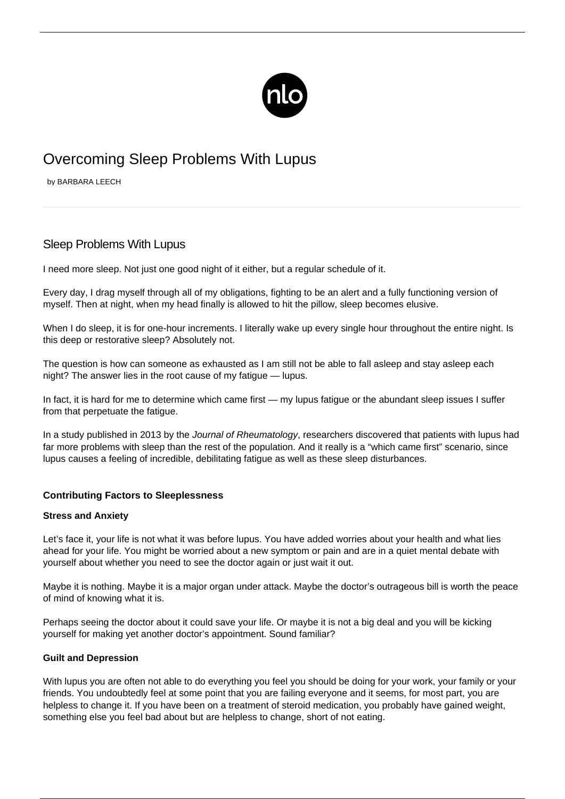

# Overcoming Sleep Problems With Lupus

by BARBARA LEECH

## Sleep Problems With Lupus

I need more sleep. Not just one good night of it either, but a regular schedule of it.

Every day, I drag myself through all of my obligations, fighting to be an alert and a fully functioning version of myself. Then at night, when my head finally is allowed to hit the pillow, sleep becomes elusive.

When I do sleep, it is for one-hour increments. I literally wake up every single hour throughout the entire night. Is this deep or restorative sleep? Absolutely not.

The question is how can someone as exhausted as I am still not be able to fall asleep and stay asleep each night? The answer lies in the root cause of my fatigue — lupus.

In fact, it is hard for me to determine which came first — my lupus fatigue or the abundant sleep issues I suffer from that perpetuate the fatigue.

In a study published in 2013 by the Journal of Rheumatology, researchers discovered that patients with lupus had far more problems with sleep than the rest of the population. And it really is a "which came first" scenario, since lupus causes a feeling of incredible, debilitating fatigue as well as these sleep disturbances.

### **Contributing Factors to Sleeplessness**

#### **Stress and Anxiety**

Let's face it, your life is not what it was before lupus. You have added worries about your health and what lies ahead for your life. You might be worried about a new symptom or pain and are in a quiet mental debate with yourself about whether you need to see the doctor again or just wait it out.

Maybe it is nothing. Maybe it is a major organ under attack. Maybe the doctor's outrageous bill is worth the peace of mind of knowing what it is.

Perhaps seeing the doctor about it could save your life. Or maybe it is not a big deal and you will be kicking yourself for making yet another doctor's appointment. Sound familiar?

#### **Guilt and Depression**

With lupus you are often not able to do everything you feel you should be doing for your work, your family or your friends. You undoubtedly feel at some point that you are failing everyone and it seems, for most part, you are helpless to change it. If you have been on a treatment of steroid medication, you probably have gained weight, something else you feel bad about but are helpless to change, short of not eating.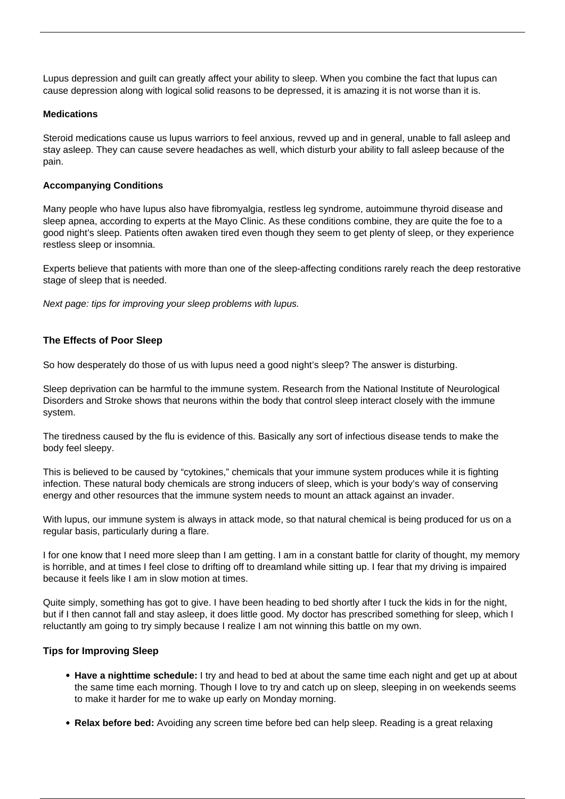[Lupus depression](/lupus-depression/) and guilt can greatly affect your ability to sleep. When you combine the fact that lupus can cause depression along with logical solid reasons to be depressed, it is amazing it is not worse than it is.

#### **Medications**

Steroid medications cause us lupus warriors to feel anxious, revved up and in general, unable to fall asleep and stay asleep. They can cause severe headaches as well, which disturb your ability to fall asleep because of the pain.

#### **Accompanying Conditions**

Many people who have lupus also have fibromyalgia, restless leg syndrome, autoimmune thyroid disease and sleep apnea, according to experts at the Mayo Clinic. As these conditions combine, they are quite the foe to a good night's sleep. Patients often awaken tired even though they seem to get plenty of sleep, or they experience restless sleep or insomnia.

Experts believe that patients with more than one of the sleep-affecting conditions rarely reach the deep restorative stage of sleep that is needed.

Next page: tips for improving your sleep problems with lupus.

#### **The Effects of Poor Sleep**

So how desperately do those of us with lupus need a good night's sleep? The answer is disturbing.

Sleep deprivation can be harmful to the immune system. Research from the National Institute of Neurological Disorders and Stroke shows that neurons within the body that control sleep interact closely with the immune system.

The tiredness caused by the flu is evidence of this. Basically any sort of infectious disease tends to make the body feel sleepy.

This is believed to be caused by "cytokines," chemicals that your immune system produces while it is fighting infection. These natural body chemicals are strong inducers of sleep, which is your body's way of conserving energy and other resources that the immune system needs to mount an attack against an invader.

With lupus, our immune system is always in attack mode, so that natural chemical is being produced for us on a regular basis, particularly during a flare.

I for one know that I need more sleep than I am getting. I am in a constant battle for clarity of thought, my memory is horrible, and at times I feel close to drifting off to dreamland while sitting up. I fear that my driving is impaired because it feels like I am in slow motion at times.

Quite simply, something has got to give. I have been heading to bed shortly after I tuck the kids in for the night, but if I then cannot fall and stay asleep, it does little good. My doctor has prescribed something for sleep, which I reluctantly am going to try simply because I realize I am not winning this battle on my own.

#### **Tips for Improving Sleep**

- **Have a nighttime schedule:** I try and head to bed at about the same time each night and get up at about the same time each morning. Though I love to try and catch up on sleep, sleeping in on weekends seems to make it harder for me to wake up early on Monday morning.
- **Relax before bed:** Avoiding any screen time before bed can help sleep. Reading is a great relaxing